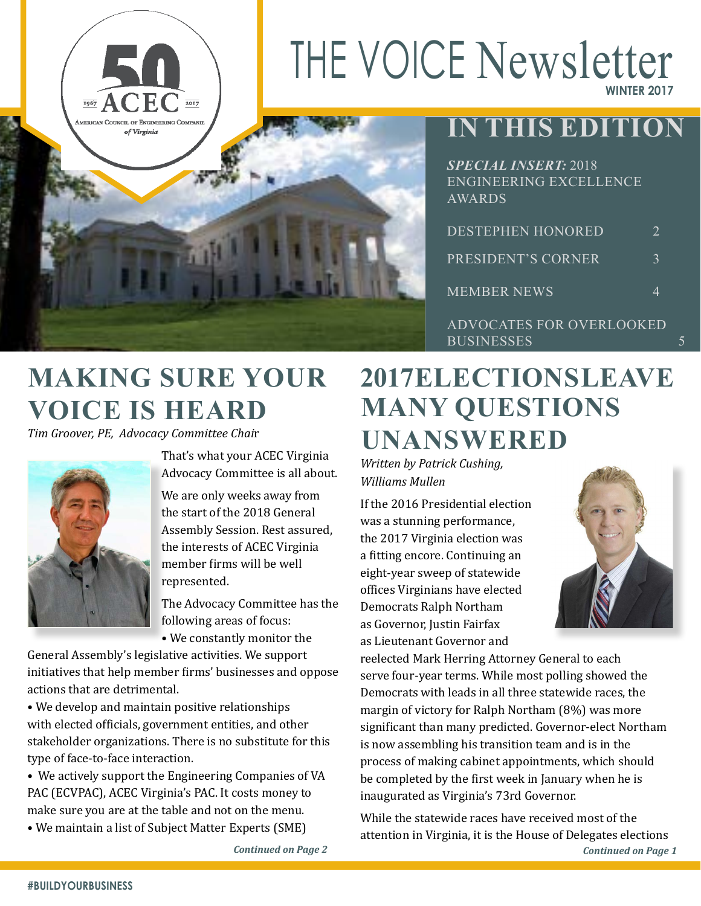# THE VOICE Newsletter **WINTER 2017**



## **IN THIS EDITION**

| SPECIAL INSERT: 2018<br>ENGINEERING EXCELLENCE<br>AWARDS |                       |
|----------------------------------------------------------|-----------------------|
| <b>DESTEPHEN HONORED</b>                                 | $\mathcal{D}_{\cdot}$ |
| PRESIDENT'S CORNER                                       | $\mathcal{E}$         |
| <b>MEMBER NEWS</b>                                       | 4                     |
| ADVOCATES FOR OVERLOOKED                                 |                       |

**MAKING SURE YOUR VOICE IS HEARD** 

*Tim Groover, PE, Advocacy Committee Chai*r



That's what your ACEC Virginia Advocacy Committee is all about.

We are only weeks away from the start of the 2018 General Assembly Session. Rest assured, the interests of ACEC Virginia member firms will be well represented.

The Advocacy Committee has the following areas of focus:

• We constantly monitor the

General Assembly's legislative activities. We support initiatives that help member firms' businesses and oppose actions that are detrimental.

• We develop and maintain positive relationships with elected officials, government entities, and other stakeholder organizations. There is no substitute for this type of face-to-face interaction.

• We actively support the Engineering Companies of VA PAC (ECVPAC), ACEC Virginia's PAC. It costs money to make sure you are at the table and not on the menu.

• We maintain a list of Subject Matter Experts (SME)

## **2017 ELECTIONS LEAVE MANY QUESTIONS UNANSWERED**

**BUSINESSES** 

*Written by Patrick Cushing, Williams Mullen*

If the 2016 Presidential election was a stunning performance, the 2017 Virginia election was a fitting encore. Continuing an eight-year sweep of statewide offices Virginians have elected Democrats Ralph Northam as Governor, Justin Fairfax as Lieutenant Governor and



reelected Mark Herring Attorney General to each serve four-year terms. While most polling showed the Democrats with leads in all three statewide races, the margin of victory for Ralph Northam (8%) was more significant than many predicted. Governor-elect Northam is now assembling his transition team and is in the process of making cabinet appointments, which should be completed by the first week in January when he is inaugurated as Virginia's 73rd Governor.

While the statewide races have received most of the attention in Virginia, it is the House of Delegates elections *Continued on Page 2 Continued on Page 1*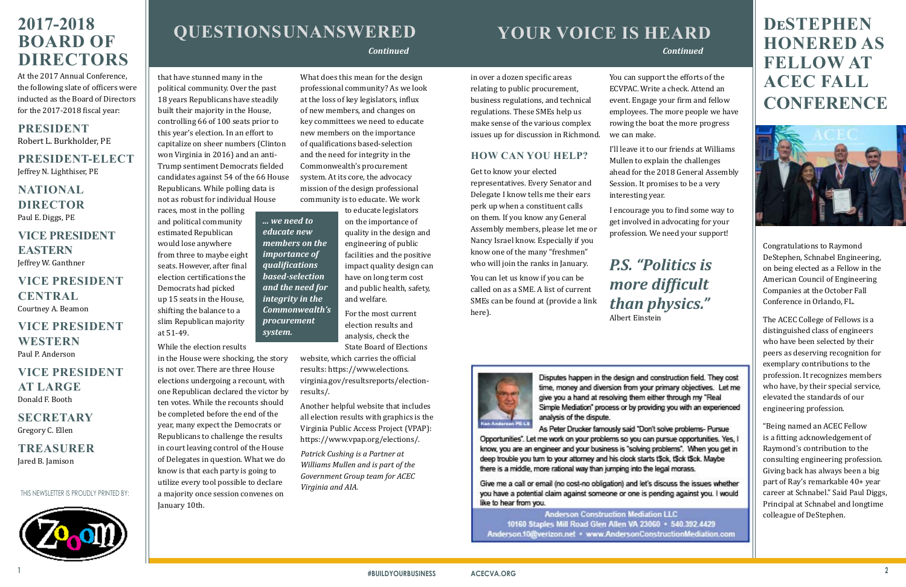# **QUESTIONS UNANSWERED**

THIS NEWSLETTER IS PROUDLY PRINTED BY:



## <span id="page-1-0"></span>**2017-2018 BOARD OF DIRECTORS**

At the 2017 Annual Conference, the following slate of officers were inducted as the Board of Directors for the 2017-2018 fiscal year:

#### **PRESIDENT** Robert L. Burkholder, PE

**PRESIDENT-ELECT** Jeffrey N. Lighthiser, PE

**NATIONAL DIRECTOR** Paul E. Diggs, PE

**VICE PRESIDENT EASTERN** Jeffrey W. Ganthner

**VICE PRESIDENT CENTRAL** Courtney A. Beamon

## **VICE PRESIDENT WESTERN** Paul P. Anderson

**VICE PRESIDENT AT LARGE** Donald F. Booth

**SECRETARY** Gregory C. Ellen

**TREASURER** Jared B. Jamison

that have stunned many in the political community. Over the past 18 years Republicans have steadily built their majority in the House, controlling 66 of 100 seats prior to this year's election. In an effort to capitalize on sheer numbers (Clinton won Virginia in 2016) and an anti-Trump sentiment Democrats fielded candidates against 54 of the 66 House Republicans. While polling data is

not as robust for individual House races, most in the polling and political community estimated Republican would lose anywhere from three to maybe eight seats. However, after final election certifications the Democrats had picked up 15 seats in the House, shifting the balance to a slim Republican majority at 51-49.

While the election results

in the House were shocking, the story is not over. There are three House elections undergoing a recount, with one Republican declared the victor by ten votes. While the recounts should be completed before the end of the year, many expect the Democrats or Republicans to challenge the results in court leaving control of the House of Delegates in question. What we do know is that each party is going to utilize every tool possible to declare a majority once session convenes on January 10th.

What does this mean for the design professional community? As we look at the loss of key legislators, influx of new members, and changes on key committees we need to educate new members on the importance of qualifications based-selection and the need for integrity in the Commonwealth's procurement system. At its core, the advocacy mission of the design professional community is to educate. We work

to educate legislators on the importance of quality in the design and engineering of public facilities and the positive impact quality design can have on long term cost and public health, safety, and welfare.

For the most current election results and analysis, check the State Board of Elections

website, which carries the official results: https://www.elections. virginia.gov/resultsreports/electionresults/.

Another helpful website that includes all election results with graphics is the Virginia Public Access Project (VPAP): https://www.vpap.org/elections/.

*Patrick Cushing is a Partner at Williams Mullen and is part of the Government Group team for ACEC Virginia and AIA.*

in over a dozen specific areas relating to public procurement, business regulations, and technical regulations. These SMEs help us make sense of the various complex issues up for discussion in Richmond.

## **HOW CAN YOU HELP?**

Get to know your elected representatives. Every Senator and Delegate I know tells me their ears perk up when a constituent calls on them. If you know any General Assembly members, please let me or Nancy Israel know. Especially if you know one of the many "freshmen" who will join the ranks in January.

You can let us know if you can be called on as a SME. A list of current SMEs can be found at (provide a link here).



Disputes happen in the design and construction field. They cost time, money and diversion from your primary objectives. Let me give you a hand at resolving them either through my "Real Simple Mediation" process or by providing you with an experienced analysis of the dispute.

As Peter Drucker famously said "Don't solve problems- Pursue Opportunities". Let me work on your problems so you can pursue opportunities. Yes, I know, you are an engineer and your business is "solving problems". When you get in deep trouble you turn to your attorney and his clock starts t\$ck, t\$ck t\$ck. Maybe there is a middle, more rational way than jumping into the legal morass.

Give me a call or email (no cost-no obligation) and let's discuss the issues whether you have a potential claim against someone or one is pending against you. I would like to hear from you.

**Anderson Construction Mediation LLC** 10160 Staples Mill Road Glen Allen VA 23060 · 540.392.4429 Anderson.10@verizon.net · www.AndersonConstructionMediation.com

You can support the efforts of the ECVPAC. Write a check. Attend an event. Engage your firm and fellow employees. The more people we have rowing the boat the more progress we can make.

I'll leave it to our friends at Williams Mullen to explain the challenges ahead for the 2018 General Assembly Session. It promises to be a very interesting year.

I encourage you to find some way to get involved in advocating for your profession. We need your support!

# *P.S. "Politics is more difficult than physics."*

Albert Einstein

## *Continued*

## **DeSTEPHEN HONERED AS FELLOW AT ACEC FALL CONFERENCE**



Congratulations to Raymond DeStephen, Schnabel Engineering, on being elected as a Fellow in the American Council of Engineering Companies at the October Fall Conference in Orlando, FL.

The ACEC College of Fellows is a distinguished class of engineers who have been selected by their peers as deserving recognition for exemplary contributions to the profession. It recognizes members who have, by their special service, elevated the standards of our engineering profession.

## **YOUR VOICE IS HEARD**  *Continued*

"Being named an ACEC Fellow is a fitting acknowledgement of Raymond's contribution to the consulting engineering profession. Giving back has always been a big part of Ray's remarkable 40+ year career at Schnabel." Said Paul Diggs, Principal at Schnabel and longtime colleague of DeStephen.

*... we need to educate new members on the importance of qualifications based-selection and the need for integrity in the Commonwealth's procurement* 

*system.*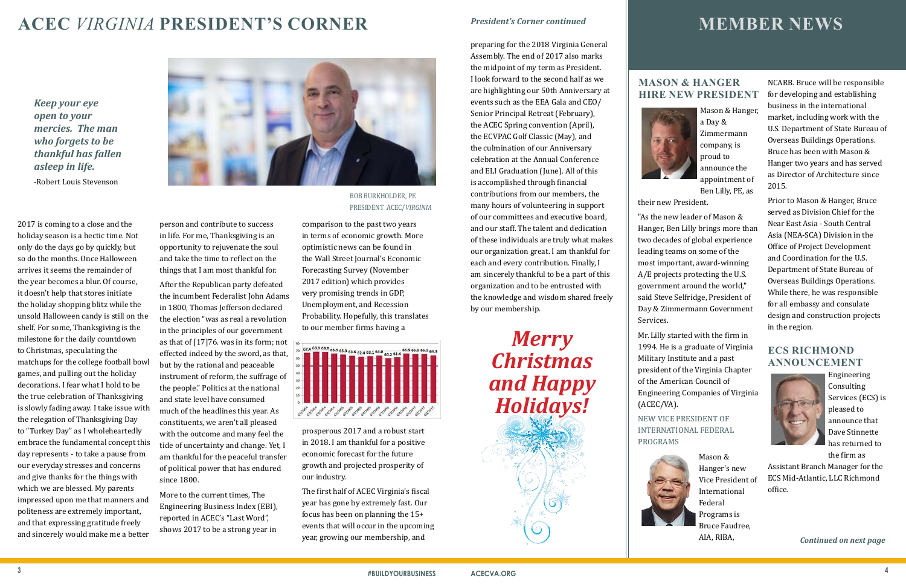2017 is coming to a close and the holiday season is a hectic time. Not only do the days go by quickly, but so do the months. Once Halloween arrives it seems the remainder of the year becomes a blur. Of course, it doesn't help that stores initiate the holiday shopping blitz while the unsold Halloween candy is still on the shelf. For some, Thanksgiving is the milestone for the daily countdown to Christmas, speculating the matchups for the college football bowl games, and pulling out the holiday decorations. I fear what I hold to be the true celebration of Thanksgiving is slowly fading away. I take issue with the relegation of Thanksgiving Day to "Turkey Day" as I wholeheartedly embrace the fundamental concept this day represents - to take a pause from our everyday stresses and concerns and give thanks for the things with which we are blessed. My parents impressed upon me that manners and politeness are extremely important, and that expressing gratitude freely and sincerely would make me a better



person and contribute to success in life. For me, Thanksgiving is an opportunity to rejuvenate the soul and take the time to reflect on the things that I am most thankful for.

After the Republican party defeated the incumbent Federalist John Adams in 1800, Thomas Jefferson declared the election "was as real a revolution in the principles of our government as that of  $[17]76$ . was in its form; not effected indeed by the sword, as that, but by the rational and peaceable instrument of reform, the suffrage of the people." Politics at the national and state level have consumed much of the headlines this year. As constituents, we aren't all pleased with the outcome and many feel the tide of uncertainty and change. Yet, I am thankful for the peaceful transfer of political power that has endured since 1800.

More to the current times, The Engineering Business Index (EBI), reported in ACEC's "Last Word", shows 2017 to be a strong year in

comparison to the past two years in terms of economic growth. More optimistic news can be found in the Wall Street Journal's Economic Forecasting Survey (November 2017 edition) which provides very promising trends in GDP, Unemployment, and Recession Probability. Hopefully, this translates to our member firms having a



prosperous 2017 and a robust start in 2018. I am thankful for a positive economic forecast for the future growth and projected prosperity of our industry.

The first half of ACEC Virginia's fiscal year has gone by extremely fast. Our focus has been on planning the 15+ events that will occur in the upcoming year, growing our membership, and

## **ACEC** *VIRGINIA* **PRESIDENT'S CORNER**

preparing for the 2018 Virginia General Assembly. The end of 2017 also marks the midpoint of my term as President. I look forward to the second half as we are highlighting our 50th Anniversary at events such as the EEA Gala and CEO/ Senior Principal Retreat (February), the ACEC Spring convention (April), the ECVPAC Golf Classic (May), and the culmination of our Anniversary celebration at the Annual Conference and ELI Graduation (June). All of this is accomplished through financial contributions from our members, the many hours of volunteering in support of our committees and executive board, and our staff. The talent and dedication of these individuals are truly what makes our organization great. I am thankful for each and every contribution. Finally, I am sincerely thankful to be a part of this organization and to be entrusted with the knowledge and wisdom shared freely by our membership.

# *Merry Christmas and Happy Holidays!*



BOB BURKHOLDER, PE PRESIDENT ACEC/*VIRGINIA*

#### *President's Corner continued*

## **MASON & HANGER HIRE NEW PRESIDENT**



Mason & Hanger, a Day & Zimmermann company, is proud to announce the appointment of Ben Lilly, PE, as

their new President.

"As the new leader of Mason & Hanger, Ben Lilly brings more than two decades of global experience leading teams on some of the most important, award-winning A/E projects protecting the U.S. government around the world," said Steve Selfridge, President of Day & Zimmermann Government Services.

Mr. Lilly started with the firm in 1994. He is a graduate of Virginia Military Institute and a past president of the Virginia Chapter of the American Council of Engineering Companies of Virginia (ACEC/VA).

NEW VICE PRESIDENT OF INTERNATIONAL FEDERAL



Mason & Hanger's new Vice President of International Federal Programs is Bruce Faudree, AIA, RIBA,

NCARB. Bruce will be responsible for developing and establishing business in the international market, including work with the U.S. Department of State Bureau of Overseas Buildings Operations. Bruce has been with Mason & Hanger two years and has served as Director of Architecture since 2015.

Prior to Mason & Hanger, Bruce served as Division Chief for the Near East Asia - South Central Asia (NEA-SCA) Division in the Office of Project Development and Coordination for the U.S. Department of State Bureau of Overseas Buildings Operations. While there, he was responsible for all embassy and consulate design and construction projects in the region.

#### **ECS RICHMOND ANNOUNCEMENT**



Engineering Consulting Services (ECS) is pleased to announce that Dave Stinnette has returned to the firm as

Assistant Branch Manager for the ECS Mid-Atlantic, LLC Richmond office.

## **MEMBER NEWS**

*Continued on next page*

*Keep your eye open to your mercies. The man who forgets to be thankful has fallen asleep in life.* -Robert Louis Stevenson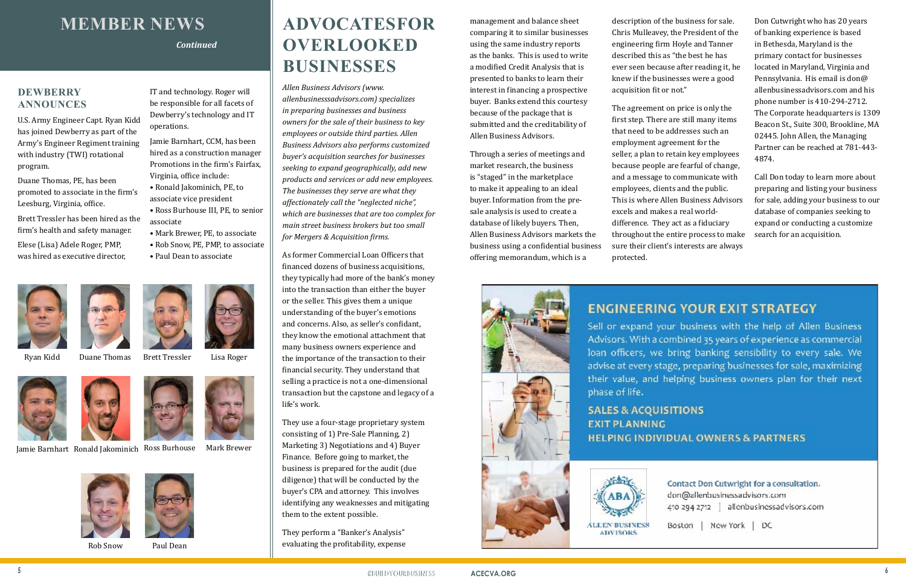# **ADVOCATES FOR OVERLOOKED BUSINESSES**

*Allen Business Advisors (www. allenbusinesssadvisors.com) specializes in preparing businesses and business owners for the sale of their business to key employees or outside third parties. Allen Business Advisors also performs customized buyer's acquisition searches for businesses seeking to expand geographically, add new products and services or add new employees. The businesses they serve are what they affectionately call the "neglected niche", which are businesses that are too complex for main street business brokers but too small for Mergers & Acquisition firms.* 

As former Commercial Loan Officers that financed dozens of business acquisitions, they typically had more of the bank's money into the transaction than either the buyer or the seller. This gives them a unique understanding of the buyer's emotions and concerns. Also, as seller's confidant, they know the emotional attachment that many business owners experience and the importance of the transaction to their financial security. They understand that selling a practice is not a one-dimensional transaction but the capstone and legacy of a life's work.

They use a four-stage proprietary system consisting of 1) Pre-Sale Planning, 2) Marketing 3) Negotiations and 4) Buyer Finance. Before going to market, the business is prepared for the audit (due diligence) that will be conducted by the buyer's CPA and attorney. This involves identifying any weaknesses and mitigating them to the extent possible.

They perform a "Banker's Analysis" evaluating the profitability, expense

management and balance sheet comparing it to similar businesses using the same industry reports as the banks. This is used to write a modified Credit Analysis that is presented to banks to learn their interest in financing a prospective buyer. Banks extend this courtesy because of the package that is submitted and the creditability of Allen Business Advisors.

Through a series of meetings and market research, the business is "staged" in the marketplace to make it appealing to an ideal buyer. Information from the presale analysis is used to create a database of likely buyers. Then, Allen Business Advisors markets the business using a confidential business offering memorandum, which is a



## **ENGINEERING YOUR EXIT STRATEGY**

Sell or expand your business with the help of Allen Business Advisors. With a combined 35 years of experience as commercial loan officers, we bring banking sensibility to every sale. We advise at every stage, preparing businesses for sale, maximizing their value, and helping business owners plan for their next phase of life.

**SALES & ACQUISITIONS EXIT PLANNING HELPING INDIVIDUAL OWNERS & PARTNERS** 



description of the business for sale. Chris Mulleavey, the President of the engineering firm Hoyle and Tanner described this as "the best he has ever seen because after reading it, he knew if the businesses were a good acquisition fit or not."

The agreement on price is only the first step. There are still many items that need to be addresses such an employment agreement for the seller, a plan to retain key employees because people are fearful of change, and a message to communicate with employees, clients and the public. This is where Allen Business Advisors excels and makes a real worlddifference. They act as a fiduciary

throughout the entire process to make sure their client's interests are always

protected.

Don Cutwright who has 20 years of banking experience is based in Bethesda, Maryland is the primary contact for businesses located in Maryland, Virginia and Pennsylvania. His email is don@ allenbusinessadvisors.com and his phone number is 410-294-2712. The Corporate headquarters is 1309 Beacon St., Suite 300, Brookline, MA 02445. John Allen, the Managing Partner can be reached at 781-443- 4874.

Call Don today to learn more about preparing and listing your business for sale, adding your business to our database of companies seeking to expand or conducting a customize search for an acquisition.

Contact Don Cutwright for a consultation. don@allenbusinessadvisors.com 410-294-2712 allenbusinessadvisors.com

Boston | New York | DC

# **MEMBER NEWS**

## **DEWBERRY ANNOUNCES**

U.S. Army Engineer Capt. Ryan Kidd has joined Dewberry as part of the Army's Engineer Regiment training with industry (TWI) rotational program.

Duane Thomas, PE, has been promoted to associate in the firm's Leesburg, Virginia, office.

Brett Tressler has been hired as the firm's health and safety manager.

Elese (Lisa) Adele Roger, PMP, was hired as executive director,



IT and technology. Roger will be responsible for all facets of Dewberry's technology and IT operations.

Jamie Barnhart, CCM, has been hired as a construction manager Promotions in the firm's Fairfax, Virginia, office include:

- Ronald Jakominich, PE, to associate vice president
- Ross Burhouse III, PE, to senior associate
- Mark Brewer, PE, to associate
- Rob Snow, PE, PMP, to associate
- Paul Dean to associate







*Continued*

Ryan Kidd Duane Thomas Brett Tressler Lisa Roger



Jamie Barnhart Ronald Jakominich Ross Burhouse Mark Brewer





Rob Snow Paul Dean